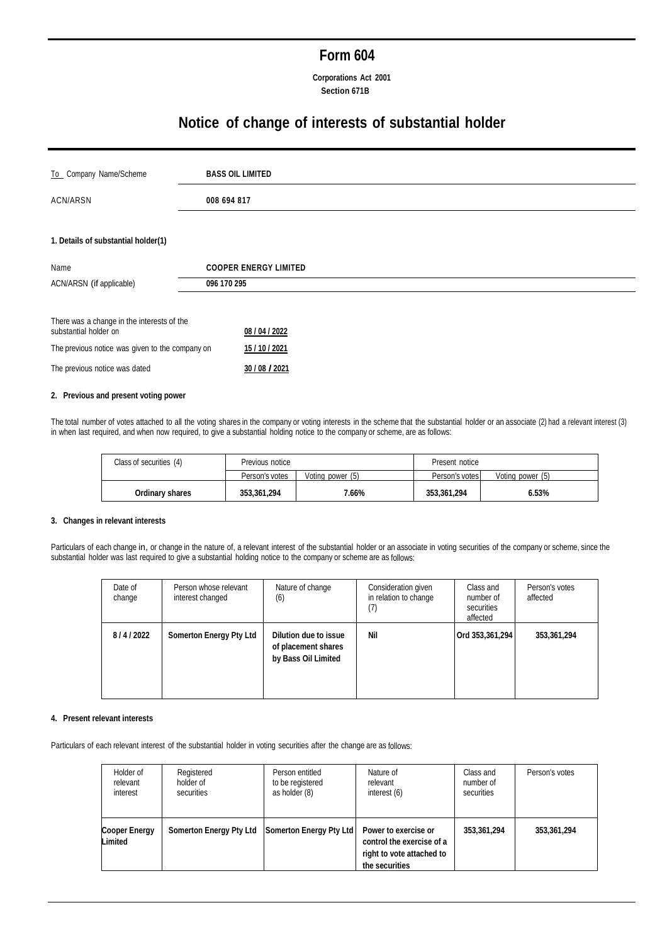# **Form 604**

**Corporations Act 2001 Section 671B**

# **Notice of change of interests of substantial holder**

| To Company Name/Scheme                                              | <b>BASS OIL LIMITED</b>      |  |
|---------------------------------------------------------------------|------------------------------|--|
| ACN/ARSN                                                            | 008 694 817                  |  |
|                                                                     |                              |  |
| 1. Details of substantial holder(1)                                 |                              |  |
| Name                                                                | <b>COOPER ENERGY LIMITED</b> |  |
| ACN/ARSN (if applicable)                                            | 096 170 295                  |  |
|                                                                     |                              |  |
| There was a change in the interests of the<br>substantial holder on | 08 / 04 / 2022               |  |
| The previous notice was given to the company on                     | 15 / 10 / 2021               |  |
| The previous notice was dated                                       | 30 / 08 / 2021               |  |

### **2. Previous and present voting power**

The total number of votes attached to all the voting shares in the company or voting interests in the scheme that the substantial holder or an associate (2) had a relevant interest (3) in when last required, and when now required, to give a substantial holding notice to the company or scheme, are as follows:

| Class of securities (4) | Previous notice |                  | Present notice |                  |
|-------------------------|-----------------|------------------|----------------|------------------|
|                         | Person's votes  | Voting power (5) | Person's votes | Voting power (5) |
| Ordinary shares         | 353,361,294     | 7.66%            | 353,361,294    | 6.53%            |

# **3. Changes in relevant interests**

Particulars of each change in, or change in the nature of, a relevant interest of the substantial holder or an associate in voting securities of the company or scheme, since the substantial holder was last required to give a substantial holding notice to the company or scheme are as follows:

| Date of<br>change | Person whose relevant<br>interest changed | Nature of change<br>(6)                                             | Consideration given<br>in relation to change<br>(7) | Class and<br>number of<br>securities<br>affected | Person's votes<br>affected |
|-------------------|-------------------------------------------|---------------------------------------------------------------------|-----------------------------------------------------|--------------------------------------------------|----------------------------|
| 8/4/2022          | <b>Somerton Energy Pty Ltd</b>            | Dilution due to issue<br>of placement shares<br>by Bass Oil Limited | Nil                                                 | Ord 353,361,294                                  | 353,361,294                |

# **4. Present relevant interests**

Particulars of each relevant interest of the substantial holder in voting securities after the change are as follows:

| Holder of                | Registered                     | Person entitled         | Nature of                                                                                        | Class and   | Person's votes |
|--------------------------|--------------------------------|-------------------------|--------------------------------------------------------------------------------------------------|-------------|----------------|
| relevant                 | holder of                      | to be registered        | relevant                                                                                         | number of   |                |
| interest                 | securities                     | as holder (8)           | interest (6)                                                                                     | securities  |                |
| Cooper Energy<br>Limited | <b>Somerton Energy Pty Ltd</b> | Somerton Energy Pty Ltd | Power to exercise or<br>control the exercise of a<br>right to vote attached to<br>the securities | 353,361,294 | 353,361,294    |